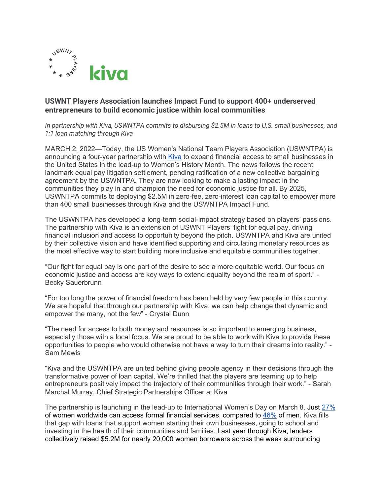

## **USWNT Players Association launches Impact Fund to support 400+ underserved entrepreneurs to build economic justice within local communities**

*In partnership with Kiva, USWNTPA commits to disbursing \$2.5M in loans to U.S. small businesses, and 1:1 loan matching through Kiva*

MARCH 2, 2022*—*Today, the US Women's National Team Players Association (USWNTPA) is announcing a four-year partnership with Kiva to expand financial access to small businesses in the United States in the lead-up to Women's History Month. The news follows the recent landmark equal pay litigation settlement, pending ratification of a new collective bargaining agreement by the USWNTPA. They are now looking to make a lasting impact in the communities they play in and champion the need for economic justice for all. By 2025, USWNTPA commits to deploying \$2.5M in zero-fee, zero-interest loan capital to empower more than 400 small businesses through Kiva and the USWNTPA Impact Fund.

The USWNTPA has developed a long-term social-impact strategy based on players' passions. The partnership with Kiva is an extension of USWNT Players' fight for equal pay, driving financial inclusion and access to opportunity beyond the pitch. USWNTPA and Kiva are united by their collective vision and have identified supporting and circulating monetary resources as the most effective way to start building more inclusive and equitable communities together.

"Our fight for equal pay is one part of the desire to see a more equitable world. Our focus on economic justice and access are key ways to extend equality beyond the realm of sport." - Becky Sauerbrunn

"For too long the power of financial freedom has been held by very few people in this country. We are hopeful that through our partnership with Kiva, we can help change that dynamic and empower the many, not the few" - Crystal Dunn

"The need for access to both money and resources is so important to emerging business, especially those with a local focus. We are proud to be able to work with Kiva to provide these opportunities to people who would otherwise not have a way to turn their dreams into reality." - Sam Mewis

"Kiva and the USWNTPA are united behind giving people agency in their decisions through the transformative power of loan capital. We're thrilled that the players are teaming up to help entrepreneurs positively impact the trajectory of their communities through their work." - Sarah Marchal Murray, Chief Strategic Partnerships Officer at Kiva

The partnership is launching in the lead-up to International Women's Day on March 8. Just 27% of women worldwide can access formal financial services, compared to 46% of men. Kiva fills that gap with loans that support women starting their own businesses, going to school and investing in the health of their communities and families. Last year through Kiva, lenders collectively raised \$5.2M for nearly 20,000 women borrowers across the week surrounding